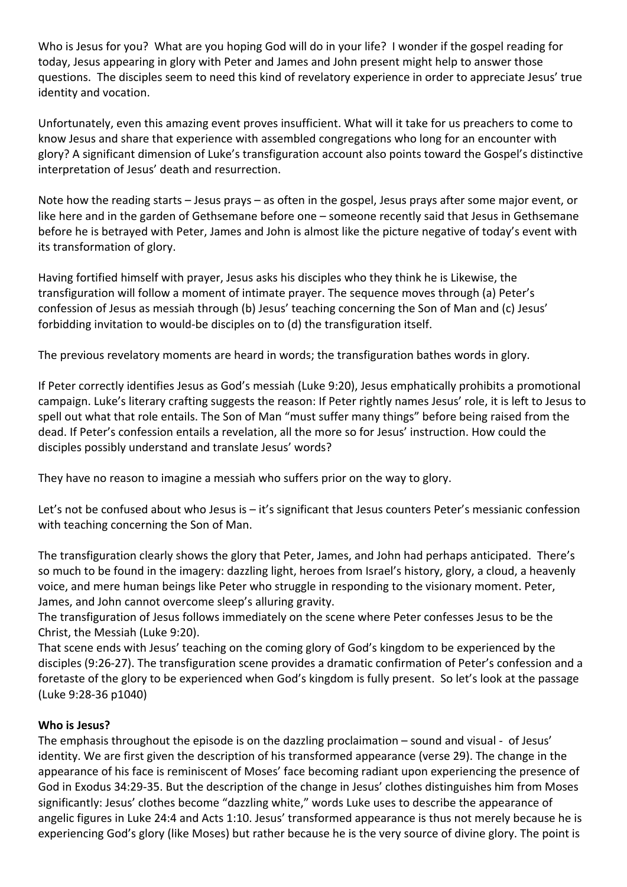Who is Jesus for you? What are you hoping God will do in your life? I wonder if the gospel reading for today, Jesus appearing in glory with Peter and James and John present might help to answer those questions. The disciples seem to need this kind of revelatory experience in order to appreciate Jesus' true identity and vocation.

Unfortunately, even this amazing event proves insufficient. What will it take for us preachers to come to know Jesus and share that experience with assembled congregations who long for an encounter with glory? A significant dimension of Luke's transfiguration account also points toward the Gospel's distinctive interpretation of Jesus' death and resurrection.

Note how the reading starts – Jesus prays – as often in the gospel, Jesus prays after some major event, or like here and in the garden of Gethsemane before one – someone recently said that Jesus in Gethsemane before he is betrayed with Peter, James and John is almost like the picture negative of today's event with its transformation of glory.

Having fortified himself with prayer, Jesus asks his disciples who they think he is Likewise, the transfiguration will follow a moment of intimate prayer. The sequence moves through (a) Peter's confession of Jesus as messiah through (b) Jesus' teaching concerning the Son of Man and (c) Jesus' forbidding invitation to would-be disciples on to (d) the transfiguration itself.

The previous revelatory moments are heard in words; the transfiguration bathes words in glory.

If Peter correctly identifies Jesus as God's messiah (Luke 9:20), Jesus emphatically prohibits a promotional campaign. Luke's literary crafting suggests the reason: If Peter rightly names Jesus' role, it is left to Jesus to spell out what that role entails. The Son of Man "must suffer many things" before being raised from the dead. If Peter's confession entails a revelation, all the more so for Jesus' instruction. How could the disciples possibly understand and translate Jesus' words?

They have no reason to imagine a messiah who suffers prior on the way to glory.

Let's not be confused about who Jesus is – it's significant that Jesus counters Peter's messianic confession with teaching concerning the Son of Man.

The transfiguration clearly shows the glory that Peter, James, and John had perhaps anticipated. There's so much to be found in the imagery: dazzling light, heroes from Israel's history, glory, a cloud, a heavenly voice, and mere human beings like Peter who struggle in responding to the visionary moment. Peter, James, and John cannot overcome sleep's alluring gravity.

The transfiguration of Jesus follows immediately on the scene where Peter confesses Jesus to be the Christ, the Messiah (Luke 9:20).

That scene ends with Jesus' teaching on the coming glory of God's kingdom to be experienced by the disciples (9:26-27). The transfiguration scene provides a dramatic confirmation of Peter's confession and a foretaste of the glory to be experienced when God's kingdom is fully present. So let's look at the passage (Luke 9:28-36 p1040)

## **Who is Jesus?**

The emphasis throughout the episode is on the dazzling proclaimation – sound and visual - of Jesus' identity. We are first given the description of his transformed appearance (verse 29). The change in the appearance of his face is reminiscent of Moses' face becoming radiant upon experiencing the presence of God in Exodus 34:29-35. But the description of the change in Jesus' clothes distinguishes him from Moses significantly: Jesus' clothes become "dazzling white," words Luke uses to describe the appearance of angelic figures in Luke 24:4 and Acts 1:10. Jesus' transformed appearance is thus not merely because he is experiencing God's glory (like Moses) but rather because he is the very source of divine glory. The point is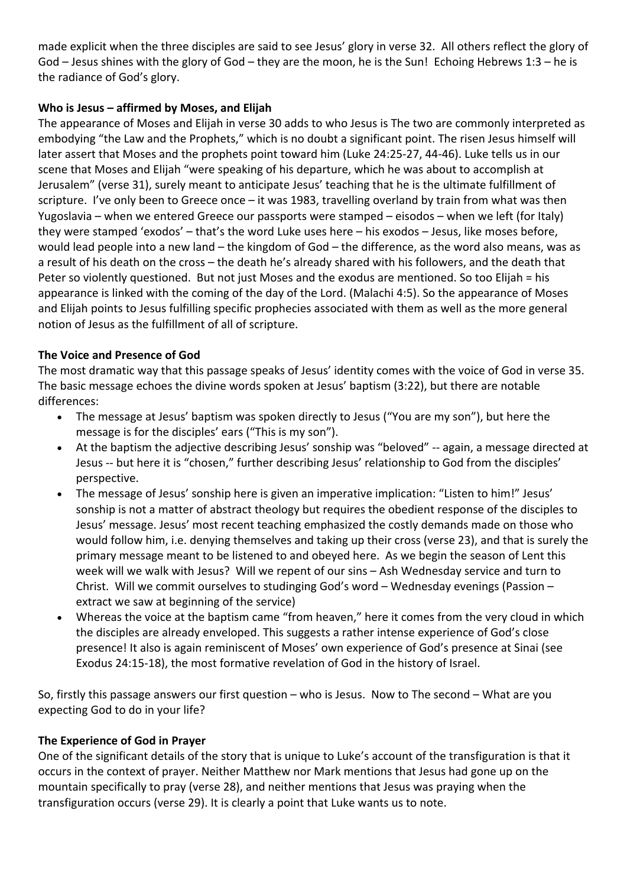made explicit when the three disciples are said to see Jesus' glory in verse 32. All others reflect the glory of God – Jesus shines with the glory of God – they are the moon, he is the Sun! Echoing Hebrews 1:3 – he is the radiance of God's glory.

## **Who is Jesus – affirmed by Moses, and Elijah**

The appearance of Moses and Elijah in verse 30 adds to who Jesus is The two are commonly interpreted as embodying "the Law and the Prophets," which is no doubt a significant point. The risen Jesus himself will later assert that Moses and the prophets point toward him (Luke 24:25-27, 44-46). Luke tells us in our scene that Moses and Elijah "were speaking of his departure, which he was about to accomplish at Jerusalem" (verse 31), surely meant to anticipate Jesus' teaching that he is the ultimate fulfillment of scripture. I've only been to Greece once – it was 1983, travelling overland by train from what was then Yugoslavia – when we entered Greece our passports were stamped – eisodos – when we left (for Italy) they were stamped 'exodos' – that's the word Luke uses here – his exodos – Jesus, like moses before, would lead people into a new land – the kingdom of God – the difference, as the word also means, was as a result of his death on the cross – the death he's already shared with his followers, and the death that Peter so violently questioned. But not just Moses and the exodus are mentioned. So too Elijah = his appearance is linked with the coming of the day of the Lord. (Malachi 4:5). So the appearance of Moses and Elijah points to Jesus fulfilling specific prophecies associated with them as well as the more general notion of Jesus as the fulfillment of all of scripture.

## **The Voice and Presence of God**

The most dramatic way that this passage speaks of Jesus' identity comes with the voice of God in verse 35. The basic message echoes the divine words spoken at Jesus' baptism (3:22), but there are notable differences:

- The message at Jesus' baptism was spoken directly to Jesus ("You are my son"), but here the message is for the disciples' ears ("This is my son").
- At the baptism the adjective describing Jesus' sonship was "beloved" -- again, a message directed at Jesus -- but here it is "chosen," further describing Jesus' relationship to God from the disciples' perspective.
- The message of Jesus' sonship here is given an imperative implication: "Listen to him!" Jesus' sonship is not a matter of abstract theology but requires the obedient response of the disciples to Jesus' message. Jesus' most recent teaching emphasized the costly demands made on those who would follow him, i.e. denying themselves and taking up their cross (verse 23), and that is surely the primary message meant to be listened to and obeyed here. As we begin the season of Lent this week will we walk with Jesus? Will we repent of our sins – Ash Wednesday service and turn to Christ. Will we commit ourselves to studinging God's word – Wednesday evenings (Passion – extract we saw at beginning of the service)
- Whereas the voice at the baptism came "from heaven," here it comes from the very cloud in which the disciples are already enveloped. This suggests a rather intense experience of God's close presence! It also is again reminiscent of Moses' own experience of God's presence at Sinai (see Exodus 24:15-18), the most formative revelation of God in the history of Israel.

So, firstly this passage answers our first question – who is Jesus. Now to The second – What are you expecting God to do in your life?

## **The Experience of God in Prayer**

One of the significant details of the story that is unique to Luke's account of the transfiguration is that it occurs in the context of prayer. Neither Matthew nor Mark mentions that Jesus had gone up on the mountain specifically to pray (verse 28), and neither mentions that Jesus was praying when the transfiguration occurs (verse 29). It is clearly a point that Luke wants us to note.